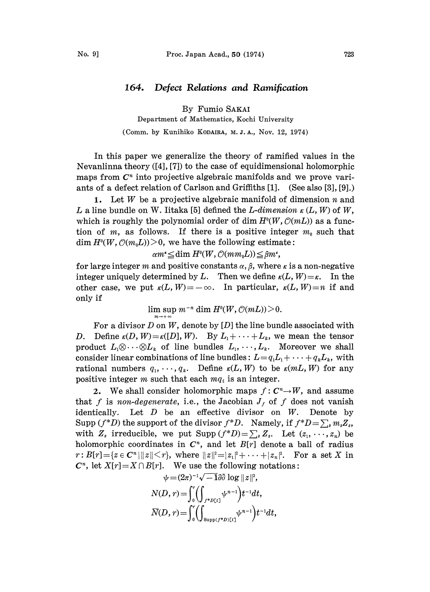## 164. Defect Relations and Ramification

By Fumio SAKAI

Department of Mathematics, Kochi University

(Comm. by Kunihiko KODAIRA, M.J.A., Nov. 12, 1974)

In this paper we generalize the theory of ramified values in the Nevanlinna theory  $([4], [7])$  to the case of equidimensional holomorphic maps from  $C<sup>n</sup>$  into projective algebraic manifolds and we prove variants of a defect relation of Carlson and Griffiths [1]. (See also [3], [9].)

1. Let W be a projective algebraic manifold of dimension  $n$  and L a line bundle on W. Iitaka [5] defined the L-dimension  $\kappa(L, W)$  of W, which is roughly the polynomial order of dim  $H<sup>0</sup>(W, \mathcal{O}(mL))$  as a function of m, as follows. If there is a positive integer  $m_0$  such that  $\dim H^0(W, \mathcal{O}(m_0L))>0$ , we have the following estimate:

 $\alpha m^* \leq \dim H^0(W, \mathcal{O}(mm_0L)) \leq \beta m^*$ 

for large integer m and positive constants  $\alpha$ ,  $\beta$ , where  $\kappa$  is a non-negative integer uniquely determined by L. Then we define  $\kappa(L, W) = \kappa$ . In the other case, we put  $\kappa(L, W) = -\infty$ . In particular,  $\kappa(L, W) = n$  if and only if

 $\limsup m^{-n} \dim H^0(W, \mathcal{O}(mL)) > 0.$ 

For a divisor  $D$  on  $W$ , denote by  $[D]$  the line bundle associated with D. Define  $\kappa(D, W) = \kappa([D], W)$ . By  $L_1 + \cdots + L_k$ , we mean the tensor product  $L_1 \otimes \cdots \otimes L_k$  of line bundles  $L_1, \cdots, L_k$ . Moreover we shall consider linear combinations of line bundles:  $L = q_1 L_1 + \cdots + q_k L_k$ , with rational numbers  $q_1, \dots, q_k$ . Define  $\kappa(L, W)$  to be  $\kappa(m, W)$  for any positive integer m such that each  $mq_i$  is an integer.

2. We shall consider holomorphic maps  $f: C<sup>n</sup> \rightarrow W$ , and assume that f is non-degenerate, i.e., the Jacobian  $J_f$  of f does not vanish identically. Let D be an effective divisor on W. Denote by Let  $D$  be an effective divisor on  $W$ . Denote by Supp  $(f^*D)$  the support of the divisor  $f^*D$ . Namely, if  $f^*D = \sum_s m_s Z_s$ , with  $Z_s$  irreducible, we put  $\text{Supp}(f^*D)=\sum_s Z_s$ . Let  $(z_1,\dots,z_n)$  be holomorphic coordinates in  $C<sup>n</sup>$ , and let  $B[r]$  denote a ball of radius  $r: B[r]=\{z\in\mathbb{C}^n\,|\,||z||\leq r\},\,$  where  $||z||^2=|z_1|^2+\cdots+|z_n|^2.$  For a set X in  $\boldsymbol{C}^n$ , let  $X[r] = X \cap B[r]$ . We use the following notations:<br>  $\psi = (2\pi)^{-1} \sqrt{-1} \partial \bar{\partial} \log ||z||^2$ ,

$$
\psi = (2\pi)^{-1}\sqrt{-1}\partial\overline{\partial}\log ||z||^2,
$$
  
\n
$$
N(D, r) = \int_0^r \left(\int_{f^*D[t]} \psi^{n-1}\right) t^{-1} dt,
$$
  
\n
$$
\overline{N}(D, r) = \int_0^r \left(\int_{\text{Supp}(f^*D)[t]} \psi^{n-1}\right) t^{-1} dt,
$$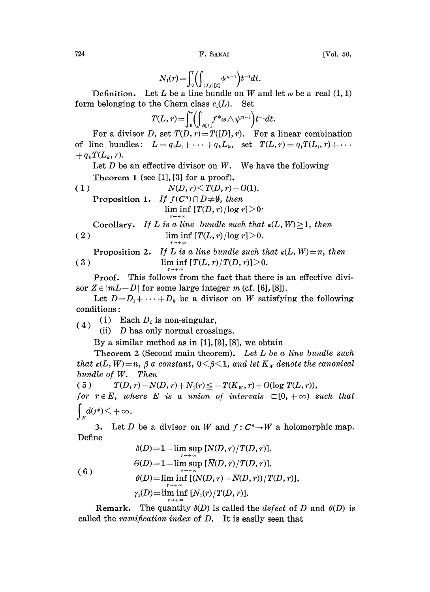$$
N_1(r) = \int_0^r \left( \int_{\{J_f\} \in L^1} \psi^{n-1} \right) t^{-1} dt.
$$

Definition. Let L be a line bundle on W and let  $\omega$  be a real (1, 1) form belonging to the Chern class  $c_1(L)$ . Set

$$
T(L,r) = \int_0^r \left( \int_{B[t]} f^* \omega \wedge \psi^{n-1} \right) t^{-1} dt.
$$

For a divisor D, set  $T(D, r) = T([D], r)$ . For a linear combination of line bundles:  $L = q_1 L_1 + \cdots + q_k L_k$ , set  $T(L, r) = q_1 T(L_1, r) + \cdots$  $+ q_k T(L_k, r).$ 

Let 
$$
D
$$
 be an effective divisor on  $W$ . We have the following Theorem 1 (see [1], [3] for a proof).

(1) 
$$
N(D, r) \leq T(D, r) + O(1).
$$
Proposition 1. If  $f(C^n) \cap D \neq \emptyset$ , then  
  $\liminf_{r \to +\infty} [T(D, r)/\log r] > 0$   
Corollary. If *L* is a line bundle such that  $\kappa(L)$ 

 $(u, W) \geq 1$ , then (2) lim inf  $[T(L, r)/\log r] > 0$ .

**Proposition 2.** If L is a line bundle such that 
$$
\kappa(L, W) = n
$$
, then  
(3)  $\liminf [T(L, r)/T(D, r)] > 0$ .

Proof. This follows from the fact that there is an effective divisor  $Z \in |mL-D|$  for some large integer m (cf. [6], [8]).

Let  $D=D_1+\cdots+D_k$  be a divisor on W satisfying the following conditions:

(4) (i) Each  $D_i$  is non-singular,

(ii)  $D$  has only normal crossings.

By a similar method as in [1], [3], [8], we obtain

Theorem 2 (Second main theorem). Let L be a line bundle such that  $\kappa(L, W) = n$ ,  $\beta$  a constant,  $0 \leq \beta \leq 1$ , and let  $K_W$  denote the canonical bundle of W. Then

( 5 )  $T(D, r) - N(D, r) + N_1(r) \leq -T(K_w, r) + O(\log T(L, r)),$ for  $r \notin E$ , where E is a union of intervals  $\subset [0, +\infty)$  such that  $\int_{r} d(r^{\beta}) \leq +\infty$ .

3. Let D be a divisor on W and  $f: C<sup>n</sup> \to W$  a holomorphic map. Define

(6)  
\n
$$
\delta(D)=1-\lim_{r \to +\infty} \sup [N(D,r)/T(D,r)].
$$
\n
$$
\Theta(D)=1-\lim_{r \to +\infty} \sup [\overline{N}(D,r)/T(D,r)].
$$
\n(6)  
\n
$$
\theta(D)=\lim_{r \to +\infty} \inf [N(D,r)-\overline{N}(D,r))/T(D,r)],
$$
\n
$$
\gamma_1(D)=\lim_{r \to +\infty} \inf [N_1(r)/T(D,r)].
$$

called the  $\emph{ramification index}$  of  $D$ . It is easily seen that Remark. The quantity  $\delta(D)$  is called the *defect* of D and  $\theta(D)$  is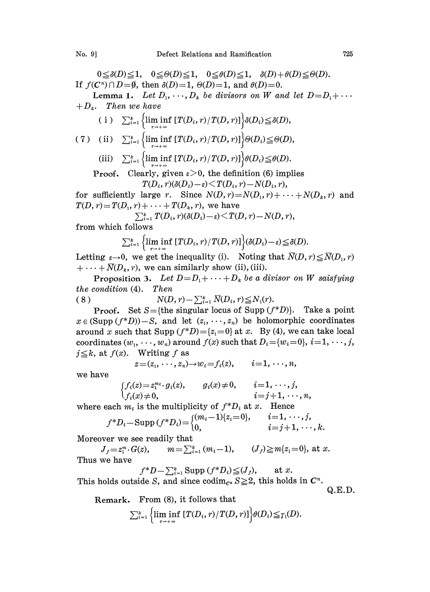$0\leq \delta(D)\leq 1, \quad 0\leq \Theta(D)\leq 1, \quad 0\leq \theta(D)\leq 1, \quad \delta(D)+\theta(D)\leq \Theta(D).$ If  $f(C^n) \cap D = \emptyset$ , then  $\delta(D)=1$ ,  $\Theta(D)=1$ , and  $\theta(D)=0$ .

Lemma 1. Let  $D_1, \dots, D_k$  be divisors on W and let  $D = D_1 + \dots$ **Lemma 1.** Let  $I + D_k$ . Then we have

$$
(i) \quad \sum_{i=1}^k \left\{ \liminf_{r \to +\infty} [T(D_i, r)/T(D, r)] \right\} \delta(D_i) \leq \delta(D),
$$

(ii

(iii) 
$$
\sum_{i=1}^{k} \{ \liminf_{r \to +\infty} [T(D_i, r)/T(D, r)] \} \theta(D_i) \leq \theta(D).
$$

Proof. Clearly, given 
$$
\varepsilon > 0
$$
, the definition (6) implies  
\n
$$
T(D_i, r)(\delta(D_i) - \varepsilon) < T(D_i, r) - N(D_i, r),
$$

for sufficiently large r. Since  $N(D,r)=N(D_1,r)+\cdots+N(D_k,r)$  and  $T(D, r) = T(D_1, r) + \cdots + T(D_k, r)$ , we have<br>  $\sum_{i=1}^k T(D_i, r)(\delta(D_i) - \varepsilon) \leq T(D, r) - N(D, r)$ ,<br>
from which follows

$$
\sum_{i=1}^k T(D_i,r)(\delta(D_i)-\varepsilon)\leq T(D,r)-N(D,r),
$$

from which follows

Letting 
$$
\varepsilon \to 0
$$
, we get the inequality (i). Noting that  $\overline{N}(D, r) \leq \delta(D)$ .  
Letting  $\varepsilon \to 0$ , we get the inequality (i). Noting that  $\overline{N}(D, r) \leq \overline{N}(D_1, r)$ 

 $+\cdots+\overline{N}(D_k, r)$ , we can similarly show (ii), (iii).

**Proposition 3.** Let  $D = D_1 + \cdots + D_k$  be a divisor on W saisfying the condition (4). Then

(8) 
$$
N(D,r) - \sum_{i=1}^{k} \overline{N}(D_i,r) \leq N_1(r).
$$

the condition (4). Then<br>
(8)  $N(D, r) - \sum_{i=1}^{k} \overline{N}(D_i, r) \leq N_1(r)$ .<br>
Proof. Set S={the singular locus of Supp (f\*D)}. Take a point  $x \in (Supp (f * D)) - S$ , and let  $(z_1, \dots, z_n)$  be holomorphic coordinates around x such that Supp  $(f^*D) = \{z_1=0\}$  at x. By (4), we can take local coordinates  $(w_1, \dots, w_n)$  around  $f(x)$  such that  $D_i = \{w_i = 0\}, i = 1, \dots, j$ ,  $j \leq k$ , at  $f(x)$ . Writing f as

$$
z=(z_1,\dots,z_n)\rightarrow w_i=f_i(z),\qquad i=1,\dots,n,
$$

we have

$$
\begin{cases}\nf_i(z) = z_1^{m_i} \cdot g_i(z), & g_i(x) \neq 0, \quad i = 1, \dots, j, \\
f_i(x) \neq 0, & i = j + 1, \dots, n,\n\end{cases}
$$

where each  $m_i$  is the multiplicity of  $f^*D_i$  at x. Hence

$$
f^*D_i-\text{Supp}(f^*D_i) = \begin{cases} (m_i-1)\{z_1=0\}, & i=1,\cdots,j, \\ 0, & i=j+1,\cdots,k. \end{cases}
$$

Moreover we see readily that

 $J_f = z_1^m \cdot G(z), \qquad m = \sum_{i=1}^k (m_i - 1), \qquad (J_f) \ge m\{z_1 = 0\}, \text{ at } x.$ Thus we have

$$
f^*D - \sum_{i=1}^k \text{Supp}(f^*D_i) \leq (J_f), \quad \text{at } x.
$$

This holds outside S, and since  $\operatorname{codim}_{C^n} S \geq 2$ , this holds in  $C^n$ .

Q.E.D.

Remark. From (8), it follows that

$$
\sum_{i=1}^k\left\{\liminf_{r\to+\infty}\left[T(D_i,r)/T(D,r)\right]\right\}\theta(D_i)\leqq\gamma_1(D).
$$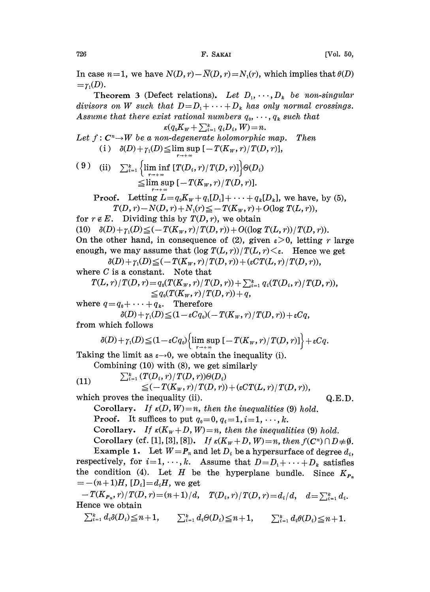726 **F. SAKAI** [Vol. 50,

In case  $n=1$ , we have  $N(D, r)-\overline{N}(D, r)=N_1(r)$ , which implies that  $\theta(D)$  $=\gamma_1(D)$ .

Theorem 3 (Defect relations). Let  $D_1, \dots, D_k$  be non-singular divisors on W such that  $D=D_1+\cdots+D_k$  has only normal crossings. Assume that there exist rational numbers  $q_0, \dots, q_k$  such that

 $\kappa (q_0K_w + \sum_{i=1}^k q_iD_i, W) = n.$ Let  $f: \mathbb{C}^n \to W$  be a non-degenerate holomorphic map. Then (i)  $\delta(D) + \gamma_1(D) \leq \limsup \left[-T(K_w, r)/T(D, r)\right],$ 

(9) (ii)  $\sum_{i=1}^k \left\{ \liminf_{r \to +\infty} [T(D_i, r)/T(D, r)] \right\} \Theta(D_i)$  $\leq$ lim sup  $[-T(K_w, r) / T(D, r)].$ 

Proof. Letting 
$$
L=q_0K_W+q_1[D_1]+\cdots+q_k[D_k]
$$
, we have, by (5),  $T(D,r)-N(D,r)+N_1(r) \leq -T(K_W,r)+O(\log T(L,r)),$ 

for  $r \notin E$ . Dividing this by  $T(D, r)$ , we obtain

(10)  $\delta(D) + \gamma_1(D) \leq (-T(K_w, r) / T(D, r)) + O((\log T(L, r)) / T(D, r)).$ On the other hand, in consequence of (2), given  $\varepsilon > 0$ , letting r large enough, we may assume that  $(\log T(L, r)) / T(L, r) \leq \varepsilon$ . Hence we get

 $\delta(D) + \gamma_1(D) \leq (-T(K_W, r) / T(D, r)) + (\varepsilon CT(L, r) / T(D, r)),$ 

where 
$$
C
$$
 is a constant. Note that

re C is a constant. Note that  
\n
$$
T(L,r)/T(D,r) = q_0(T(K_W,r)/T(D,r)) + \sum_{i=1}^k q_i(T(D_i,r)/T(D,r)),
$$
\n
$$
\leq q_0(T(K_W,r)/T(D,r)) + q,
$$

where  $q = q_0 + \cdots + q_k$ . Therefore

$$
\delta(D) + \gamma_1(D) \leq (1 - \varepsilon C q_0)(-T(K_W, r)/T(D, r)) + \varepsilon C q,
$$
  
from which follows

$$
\delta(D) + \gamma_1(D) \leq (1 - \varepsilon C q_0) \left\{ \limsup_{r \to +\infty} \left[ -T(K_w, r) / T(D, r) \right] \right\} + \varepsilon C q.
$$

Taking the limit as  $\varepsilon \rightarrow 0$ , we obtain the inequality (i).

Combining (10) with (8), we get similarly  
\n(11) 
$$
\sum_{i=1}^{k} (T(D_i, r)/T(D, r))\Theta(D_i)
$$
\n
$$
\leq (-T(K_w, r)/T(D, r)) + (\epsilon CT(L, r)/T(D, r)),
$$

which proves the inequality (ii).

Corollary. If  $\kappa(D, W) = n$ , then the inequalities (9) hold. **Proof.** It suffices to put  $q_0=0, q_i=1, i=1, \dots, k$ .

Corollary. If  $\kappa(K_W+D, W)=n$ , then the inequalities (9) hold. Corollary (cf. [1], [3], [8]). If  $\kappa(K_w+D, W)=n$ , then  $f(C^n) \cap D \neq \emptyset$ .

Example 1. Let  $W = P_n$  and let  $D_i$  be a hypersurface of degree  $d_i$ , respectively, for  $i=1, \dots, k$ . Assume that  $D=D_1+\cdots+D_k$  satisfies the condition (4). Let H be the hyperplane bundle. Since  $K_{P_n}$  $= -(n+1)H$ ,  $[D_i] = d_i H$ , we get

 $-T(K_{P_n}, r)/T(D, r) = (n+1)/d, \quad T(D_i, r)/T(D, r) = d_i/d, \quad d = \sum_{i=1}^k d_i.$ Hence we obtain

ence we optain<br>  $\sum_{i=1}^k d_i \delta(D_i) \leq n+1$ ,  $\sum_{i=1}^k d_i \Theta(D_i) \leq n+1$ ,  $\sum_{i=1}^k d_i \Theta(D_i) \leq n+1$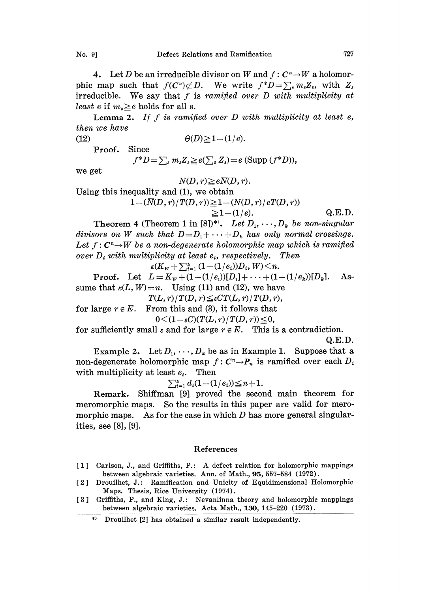4. Let D be an irreducible divisor on W and  $f: C<sup>n</sup> \to W$  a holomorphic map such that  $f(C^n) \not\subset D$ . We write  $f^*D = \sum_s m_s Z_s$ , with  $Z_s$ irreducible. We say that  $f$  is ramified over  $D$  with multiplicity at least e if  $m_s \geq e$  holds for all s.

Lemma 2. If f is ramified over  $D$  with multiplicity at least  $e$ , then we have

$$
\Theta(D) \geq 1 - (1/e).
$$

Proof. Since

 $f^*D=\sum_s m_s Z_s \geq e(\sum_s Z_s)=e$  (Supp  $(f^*D)$ ),

we get

$$
N(D, r) \geq e\overline{N}(D, r).
$$

Using this inequality and (1), we obtain

$$
1 - (\overline{N}(D, r)/T(D, r)) \ge 1 - (N(D, r)/eT(D, r))
$$
  
\n
$$
\ge 1 - (1/e).
$$
 Q.E.D.

Theorem 4 (Theorem 1 in [8])\*). Let  $D_1, \dots, D_k$  be non-singular divisors on W such that  $D=D_1+\cdots+D_k$  has only normal crossings. Let  $f: C^n \rightarrow W$  be a non-degenerate holomorphic map which is ramified over  $D_i$  with multiplicity at least  $e_i$ , respectively. Then<br>  $\kappa(K_w + \sum_{i=1}^k (1-(1/e_i))D_i, W) \leq n$ .<br>  $D_{i} \cos \theta = \frac{1}{2} \pi \frac{1}{L} + \frac{1}{L} + \frac{1}{L} \frac{(1-(1/e_i))D_i}{(1-(1/e_i))D_i}$ 

**Proof.** Let  $L=K_W+(1-(1/e_1))[D_1]+\cdots+(1-(1/e_k))[D_k]$ . Assume that  $\kappa(L, W) = n$ . Using (11) and (12), we have

 $T(L, r)/T(D, r) \leq \varepsilon CT(L, r)/T(D, r),$ 

for large  $r \notin E$ . From this and (3), it follows that

$$
0 \leq (1 - \varepsilon C)(T(L, r)/T(D, r)) \leq 0,
$$

for sufficiently small  $\varepsilon$  and for large  $r \notin E$ . This is a contradiction.

Q.E.D.

Example 2. Let  $D_1, \dots, D_k$  be as in Example 1. Suppose that a non-degenerate holomorphic map  $f: C^n \rightarrow P_n$  is ramified over each  $D_i$ with multiplicity at least  $e_i$ . Then multiplicity at least  $e_i$ . Then<br>  $\sum_{i=1}^k d_i (1 - (1/e_i)) \leq n+1$ .<br>
Remark. Shiffman [9] proved the second main theorem for

$$
\sum_{i=1}^k d_i (1 - (1/e_i)) \leq n+1.
$$

meromorphic maps. So the results in this paper are valid for meromorphic maps. As for the case in which  $D$  has more general singularities, see [8], [9].

## References

- [1] Carlson, J., and Griffiths, P.: A defect relation for holomorphic mappings between algebraic varieties. Ann. of Math., 95, 557-584 (1972).
- [2] Drouilhet, J.: Ramification and Unicity of Equidimensional Holomorphic Maps. Thesis, Rice University (1974).
- [3] Griffiths, P., and King, J.: Nevanlinna theory and holomorphic mappings between algebraic varieties. Acta Math., 130, 145-220 (1973).

<sup>\*)</sup> Drouilhet [2] has obtained a similar result independently.